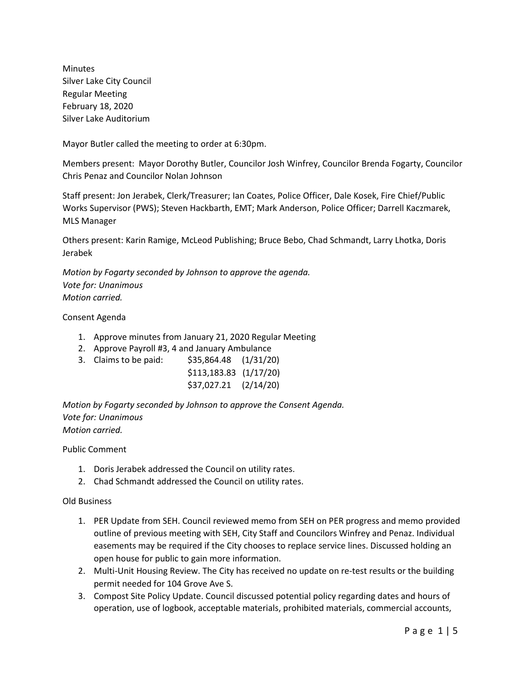Minutes Silver Lake City Council Regular Meeting February 18, 2020 Silver Lake Auditorium

Mayor Butler called the meeting to order at 6:30pm.

Members present: Mayor Dorothy Butler, Councilor Josh Winfrey, Councilor Brenda Fogarty, Councilor Chris Penaz and Councilor Nolan Johnson

Staff present: Jon Jerabek, Clerk/Treasurer; Ian Coates, Police Officer, Dale Kosek, Fire Chief/Public Works Supervisor (PWS); Steven Hackbarth, EMT; Mark Anderson, Police Officer; Darrell Kaczmarek, MLS Manager

Others present: Karin Ramige, McLeod Publishing; Bruce Bebo, Chad Schmandt, Larry Lhotka, Doris Jerabek

*Motion by Fogarty seconded by Johnson to approve the agenda. Vote for: Unanimous Motion carried.*

Consent Agenda

- 1. Approve minutes from January 21, 2020 Regular Meeting
- 2. Approve Payroll #3, 4 and January Ambulance
- 3. Claims to be paid: \$35,864.48 (1/31/20) \$113,183.83 (1/17/20)

| <u>+---,-----</u> | $1 - 7 - 7 - 7$ |
|-------------------|-----------------|
| \$37,027.21       | (2/14/20)       |

*Motion by Fogarty seconded by Johnson to approve the Consent Agenda. Vote for: Unanimous Motion carried.*

Public Comment

- 1. Doris Jerabek addressed the Council on utility rates.
- 2. Chad Schmandt addressed the Council on utility rates.

#### Old Business

- 1. PER Update from SEH. Council reviewed memo from SEH on PER progress and memo provided outline of previous meeting with SEH, City Staff and Councilors Winfrey and Penaz. Individual easements may be required if the City chooses to replace service lines. Discussed holding an open house for public to gain more information.
- 2. Multi-Unit Housing Review. The City has received no update on re-test results or the building permit needed for 104 Grove Ave S.
- 3. Compost Site Policy Update. Council discussed potential policy regarding dates and hours of operation, use of logbook, acceptable materials, prohibited materials, commercial accounts,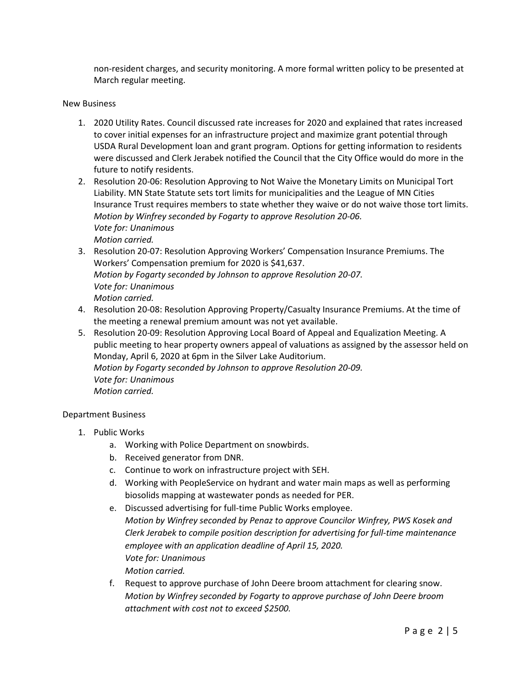non-resident charges, and security monitoring. A more formal written policy to be presented at March regular meeting.

#### New Business

- 1. 2020 Utility Rates. Council discussed rate increases for 2020 and explained that rates increased to cover initial expenses for an infrastructure project and maximize grant potential through USDA Rural Development loan and grant program. Options for getting information to residents were discussed and Clerk Jerabek notified the Council that the City Office would do more in the future to notify residents.
- 2. Resolution 20-06: Resolution Approving to Not Waive the Monetary Limits on Municipal Tort Liability. MN State Statute sets tort limits for municipalities and the League of MN Cities Insurance Trust requires members to state whether they waive or do not waive those tort limits. *Motion by Winfrey seconded by Fogarty to approve Resolution 20-06. Vote for: Unanimous Motion carried.*
- 3. Resolution 20-07: Resolution Approving Workers' Compensation Insurance Premiums. The Workers' Compensation premium for 2020 is \$41,637. *Motion by Fogarty seconded by Johnson to approve Resolution 20-07. Vote for: Unanimous Motion carried.*
- 4. Resolution 20-08: Resolution Approving Property/Casualty Insurance Premiums. At the time of the meeting a renewal premium amount was not yet available.
- 5. Resolution 20-09: Resolution Approving Local Board of Appeal and Equalization Meeting. A public meeting to hear property owners appeal of valuations as assigned by the assessor held on Monday, April 6, 2020 at 6pm in the Silver Lake Auditorium. *Motion by Fogarty seconded by Johnson to approve Resolution 20-09. Vote for: Unanimous Motion carried.*

#### Department Business

- 1. Public Works
	- a. Working with Police Department on snowbirds.
	- b. Received generator from DNR.
	- c. Continue to work on infrastructure project with SEH.
	- d. Working with PeopleService on hydrant and water main maps as well as performing biosolids mapping at wastewater ponds as needed for PER.
	- e. Discussed advertising for full-time Public Works employee.
		- *Motion by Winfrey seconded by Penaz to approve Councilor Winfrey, PWS Kosek and Clerk Jerabek to compile position description for advertising for full-time maintenance employee with an application deadline of April 15, 2020. Vote for: Unanimous Motion carried.*
	- f. Request to approve purchase of John Deere broom attachment for clearing snow. *Motion by Winfrey seconded by Fogarty to approve purchase of John Deere broom attachment with cost not to exceed \$2500.*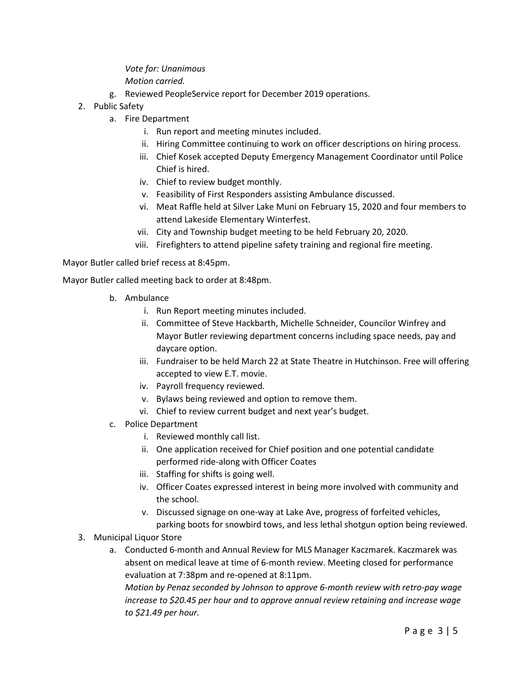# *Vote for: Unanimous*

#### *Motion carried.*

- g. Reviewed PeopleService report for December 2019 operations.
- 2. Public Safety
	- a. Fire Department
		- i. Run report and meeting minutes included.
		- ii. Hiring Committee continuing to work on officer descriptions on hiring process.
		- iii. Chief Kosek accepted Deputy Emergency Management Coordinator until Police Chief is hired.
		- iv. Chief to review budget monthly.
		- v. Feasibility of First Responders assisting Ambulance discussed.
		- vi. Meat Raffle held at Silver Lake Muni on February 15, 2020 and four members to attend Lakeside Elementary Winterfest.
		- vii. City and Township budget meeting to be held February 20, 2020.
		- viii. Firefighters to attend pipeline safety training and regional fire meeting.

Mayor Butler called brief recess at 8:45pm.

Mayor Butler called meeting back to order at 8:48pm.

- b. Ambulance
	- i. Run Report meeting minutes included.
	- ii. Committee of Steve Hackbarth, Michelle Schneider, Councilor Winfrey and Mayor Butler reviewing department concerns including space needs, pay and daycare option.
	- iii. Fundraiser to be held March 22 at State Theatre in Hutchinson. Free will offering accepted to view E.T. movie.
	- iv. Payroll frequency reviewed.
	- v. Bylaws being reviewed and option to remove them.
	- vi. Chief to review current budget and next year's budget.
- c. Police Department
	- i. Reviewed monthly call list.
	- ii. One application received for Chief position and one potential candidate performed ride-along with Officer Coates
	- iii. Staffing for shifts is going well.
	- iv. Officer Coates expressed interest in being more involved with community and the school.
	- v. Discussed signage on one-way at Lake Ave, progress of forfeited vehicles, parking boots for snowbird tows, and less lethal shotgun option being reviewed.
- 3. Municipal Liquor Store
	- a. Conducted 6-month and Annual Review for MLS Manager Kaczmarek. Kaczmarek was absent on medical leave at time of 6-month review. Meeting closed for performance evaluation at 7:38pm and re-opened at 8:11pm.

*Motion by Penaz seconded by Johnson to approve 6-month review with retro-pay wage increase to \$20.45 per hour and to approve annual review retaining and increase wage to \$21.49 per hour.*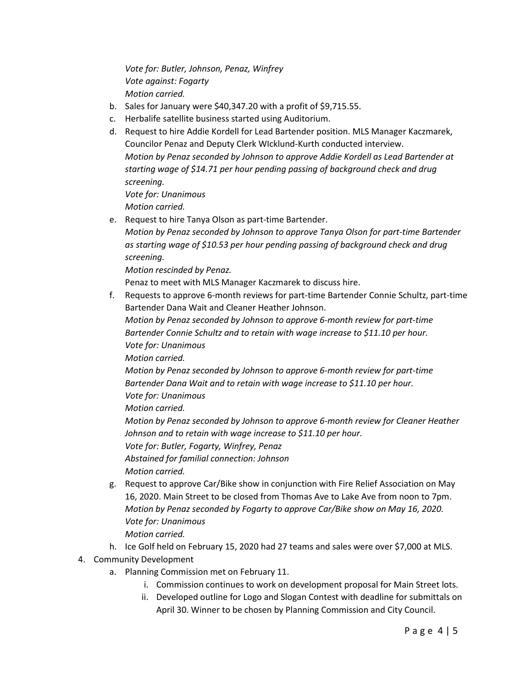*Vote for: Butler, Johnson, Penaz, Winfrey Vote against: Fogarty Motion carried.*

- b. Sales for January were \$40,347.20 with a profit of \$9,715.55.
- c. Herbalife satellite business started using Auditorium.
- d. Request to hire Addie Kordell for Lead Bartender position. MLS Manager Kaczmarek, Councilor Penaz and Deputy Clerk WIcklund-Kurth conducted interview. *Motion by Penaz seconded by Johnson to approve Addie Kordell as Lead Bartender at starting wage of \$14.71 per hour pending passing of background check and drug screening. Vote for: Unanimous Motion carried.*
- e. Request to hire Tanya Olson as part-time Bartender.
	- *Motion by Penaz seconded by Johnson to approve Tanya Olson for part-time Bartender as starting wage of \$10.53 per hour pending passing of background check and drug screening.*

*Motion rescinded by Penaz.* 

Penaz to meet with MLS Manager Kaczmarek to discuss hire.

f. Requests to approve 6-month reviews for part-time Bartender Connie Schultz, part-time Bartender Dana Wait and Cleaner Heather Johnson.

*Motion by Penaz seconded by Johnson to approve 6-month review for part-time Bartender Connie Schultz and to retain with wage increase to \$11.10 per hour. Vote for: Unanimous*

*Motion carried.*

*Motion by Penaz seconded by Johnson to approve 6-month review for part-time Bartender Dana Wait and to retain with wage increase to \$11.10 per hour. Vote for: Unanimous*

*Motion carried.*

*Motion by Penaz seconded by Johnson to approve 6-month review for Cleaner Heather Johnson and to retain with wage increase to \$11.10 per hour.*

*Vote for: Butler, Fogarty, Winfrey, Penaz*

*Abstained for familial connection: Johnson Motion carried.*

- g. Request to approve Car/Bike show in conjunction with Fire Relief Association on May 16, 2020. Main Street to be closed from Thomas Ave to Lake Ave from noon to 7pm. *Motion by Penaz seconded by Fogarty to approve Car/Bike show on May 16, 2020. Vote for: Unanimous Motion carried.*
- h. Ice Golf held on February 15, 2020 had 27 teams and sales were over \$7,000 at MLS.

## 4. Community Development

- a. Planning Commission met on February 11.
	- i. Commission continues to work on development proposal for Main Street lots.
	- ii. Developed outline for Logo and Slogan Contest with deadline for submittals on April 30. Winner to be chosen by Planning Commission and City Council.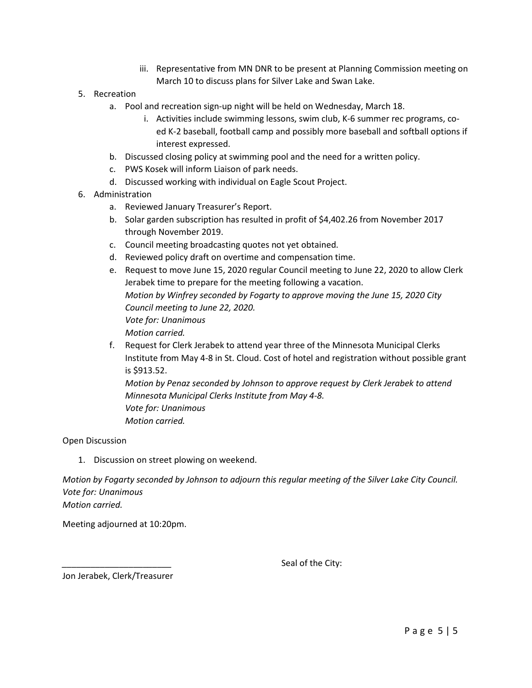- iii. Representative from MN DNR to be present at Planning Commission meeting on March 10 to discuss plans for Silver Lake and Swan Lake.
- 5. Recreation
	- a. Pool and recreation sign-up night will be held on Wednesday, March 18.
		- i. Activities include swimming lessons, swim club, K-6 summer rec programs, coed K-2 baseball, football camp and possibly more baseball and softball options if interest expressed.
	- b. Discussed closing policy at swimming pool and the need for a written policy.
	- c. PWS Kosek will inform Liaison of park needs.
	- d. Discussed working with individual on Eagle Scout Project.
- 6. Administration
	- a. Reviewed January Treasurer's Report.
	- b. Solar garden subscription has resulted in profit of \$4,402.26 from November 2017 through November 2019.
	- c. Council meeting broadcasting quotes not yet obtained.
	- d. Reviewed policy draft on overtime and compensation time.
	- e. Request to move June 15, 2020 regular Council meeting to June 22, 2020 to allow Clerk Jerabek time to prepare for the meeting following a vacation. *Motion by Winfrey seconded by Fogarty to approve moving the June 15, 2020 City Council meeting to June 22, 2020. Vote for: Unanimous Motion carried.*
	- f. Request for Clerk Jerabek to attend year three of the Minnesota Municipal Clerks Institute from May 4-8 in St. Cloud. Cost of hotel and registration without possible grant is \$913.52.

*Motion by Penaz seconded by Johnson to approve request by Clerk Jerabek to attend Minnesota Municipal Clerks Institute from May 4-8. Vote for: Unanimous Motion carried.* 

Open Discussion

1. Discussion on street plowing on weekend.

*Motion by Fogarty seconded by Johnson to adjourn this regular meeting of the Silver Lake City Council. Vote for: Unanimous Motion carried.*

Meeting adjourned at 10:20pm.

Seal of the City:

Jon Jerabek, Clerk/Treasurer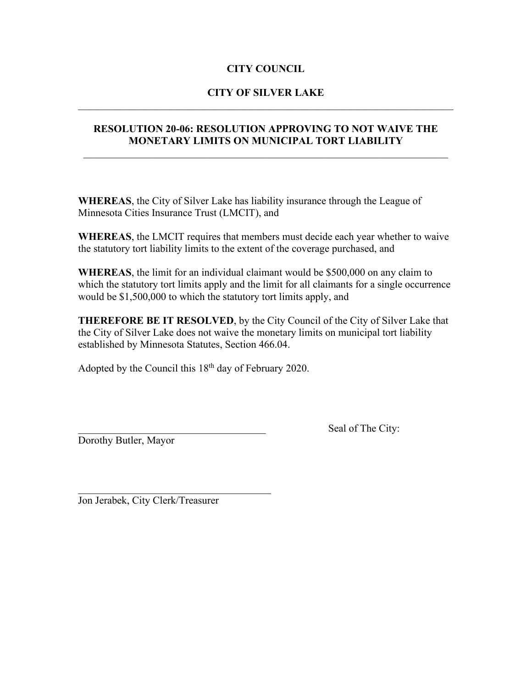## **CITY COUNCIL**

#### **CITY OF SILVER LAKE**  $\mathcal{L}_\text{G}$  , and the contribution of the contribution of the contribution of the contribution of the contribution of the contribution of the contribution of the contribution of the contribution of the contribution of t

#### **RESOLUTION 20-06: RESOLUTION APPROVING TO NOT WAIVE THE MONETARY LIMITS ON MUNICIPAL TORT LIABILITY**

**WHEREAS**, the City of Silver Lake has liability insurance through the League of Minnesota Cities Insurance Trust (LMCIT), and

**WHEREAS**, the LMCIT requires that members must decide each year whether to waive the statutory tort liability limits to the extent of the coverage purchased, and

**WHEREAS**, the limit for an individual claimant would be \$500,000 on any claim to which the statutory tort limits apply and the limit for all claimants for a single occurrence would be \$1,500,000 to which the statutory tort limits apply, and

**THEREFORE BE IT RESOLVED**, by the City Council of the City of Silver Lake that the City of Silver Lake does not waive the monetary limits on municipal tort liability established by Minnesota Statutes, Section 466.04.

Adopted by the Council this  $18<sup>th</sup>$  day of February 2020.

Dorothy Butler, Mayor

Seal of The City:

\_\_\_\_\_\_\_\_\_\_\_\_\_\_\_\_\_\_\_\_\_\_\_\_\_\_\_\_\_\_\_\_\_\_\_\_\_ Jon Jerabek, City Clerk/Treasurer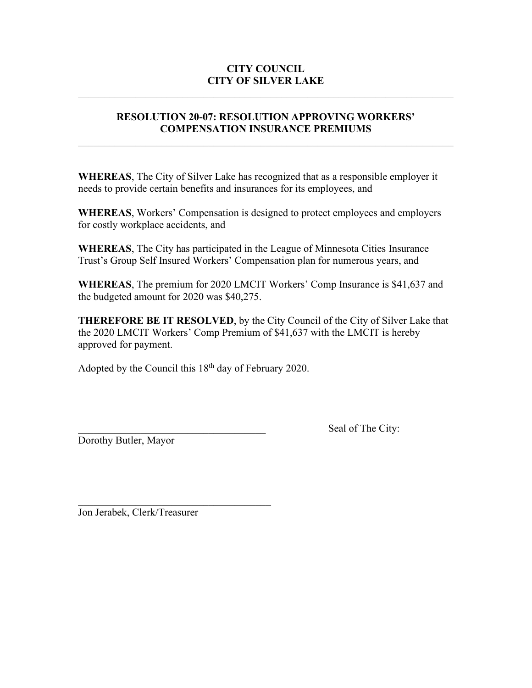# **CITY COUNCIL CITY OF SILVER LAKE**

# **RESOLUTION 20-07: RESOLUTION APPROVING WORKERS' COMPENSATION INSURANCE PREMIUMS**

 $\mathcal{L}_\text{max} = \mathcal{L}_\text{max} = \mathcal{L}_\text{max} = \mathcal{L}_\text{max} = \mathcal{L}_\text{max} = \mathcal{L}_\text{max} = \mathcal{L}_\text{max} = \mathcal{L}_\text{max} = \mathcal{L}_\text{max} = \mathcal{L}_\text{max} = \mathcal{L}_\text{max} = \mathcal{L}_\text{max} = \mathcal{L}_\text{max} = \mathcal{L}_\text{max} = \mathcal{L}_\text{max} = \mathcal{L}_\text{max} = \mathcal{L}_\text{max} = \mathcal{L}_\text{max} = \mathcal{$ 

**WHEREAS**, The City of Silver Lake has recognized that as a responsible employer it needs to provide certain benefits and insurances for its employees, and

**WHEREAS**, Workers' Compensation is designed to protect employees and employers for costly workplace accidents, and

**WHEREAS**, The City has participated in the League of Minnesota Cities Insurance Trust's Group Self Insured Workers' Compensation plan for numerous years, and

**WHEREAS**, The premium for 2020 LMCIT Workers' Comp Insurance is \$41,637 and the budgeted amount for 2020 was \$40,275.

**THEREFORE BE IT RESOLVED**, by the City Council of the City of Silver Lake that the 2020 LMCIT Workers' Comp Premium of \$41,637 with the LMCIT is hereby approved for payment.

Adopted by the Council this  $18<sup>th</sup>$  day of February 2020.

Dorothy Butler, Mayor

Seal of The City:

Jon Jerabek, Clerk/Treasurer

 $\mathcal{L}_\text{max}$  , and the set of the set of the set of the set of the set of the set of the set of the set of the set of the set of the set of the set of the set of the set of the set of the set of the set of the set of the